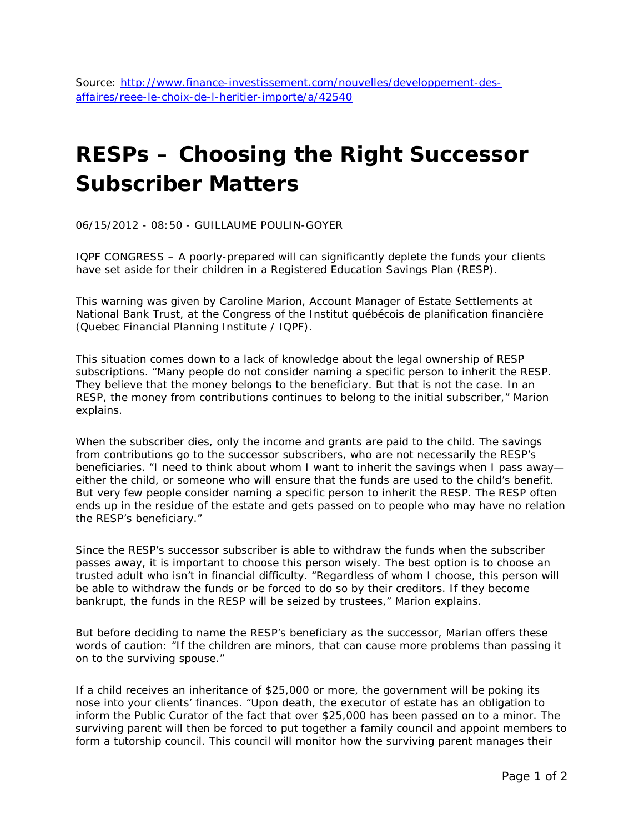## **RESPs – Choosing the Right Successor Subscriber Matters**

06/15/2012 - 08:50 - GUILLAUME POULIN-GOYER

IQPF CONGRESS – A poorly-prepared will can significantly deplete the funds your clients have set aside for their children in a Registered Education Savings Plan (RESP).

This warning was given by Caroline Marion, Account Manager of Estate Settlements at National Bank Trust, at the Congress of the *Institut québécois de planification financière* (Quebec Financial Planning Institute / IQPF).

This situation comes down to a lack of knowledge about the legal ownership of RESP subscriptions. "Many people do not consider naming a specific person to inherit the RESP. They believe that the money belongs to the beneficiary. But that is not the case. In an RESP, the money from contributions continues to belong to the initial subscriber," Marion explains.

When the subscriber dies, only the income and grants are paid to the child. The savings from contributions go to the successor subscribers, who are not necessarily the RESP's beneficiaries. "I need to think about whom I want to inherit the savings when I pass awayeither the child, or someone who will ensure that the funds are used to the child's benefit. But very few people consider naming a specific person to inherit the RESP. The RESP often ends up in the residue of the estate and gets passed on to people who may have no relation the RESP's beneficiary."

Since the RESP's successor subscriber is able to withdraw the funds when the subscriber passes away, it is important to choose this person wisely. The best option is to choose an trusted adult who isn't in financial difficulty. "Regardless of whom I choose, this person will be able to withdraw the funds or be forced to do so by their creditors. If they become bankrupt, the funds in the RESP will be seized by trustees," Marion explains.

But before deciding to name the RESP's beneficiary as the successor, Marian offers these words of caution: "If the children are minors, that can cause more problems than passing it on to the surviving spouse."

If a child receives an inheritance of \$25,000 or more, the government will be poking its nose into your clients' finances. "Upon death, the executor of estate has an obligation to inform the Public Curator of the fact that over \$25,000 has been passed on to a minor. The surviving parent will then be forced to put together a family council and appoint members to form a tutorship council. This council will monitor how the surviving parent manages their